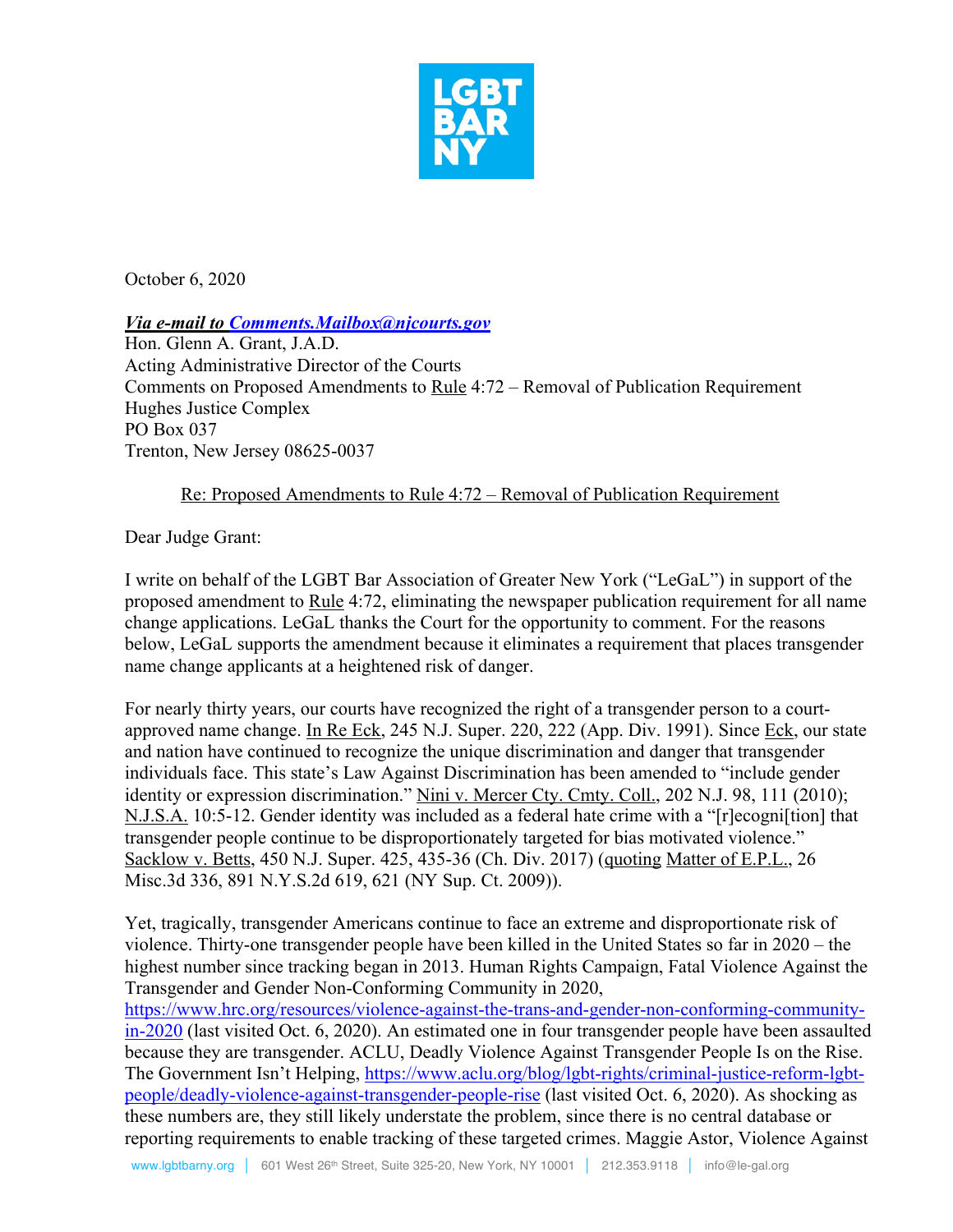

October 6, 2020

*Via e-mail to Comments.Mailbox@njcourts.gov*

Hon. Glenn A. Grant, J.A.D. Acting Administrative Director of the Courts Comments on Proposed Amendments to Rule 4:72 – Removal of Publication Requirement Hughes Justice Complex PO Box 037 Trenton, New Jersey 08625-0037

## Re: Proposed Amendments to Rule 4:72 – Removal of Publication Requirement

Dear Judge Grant:

I write on behalf of the LGBT Bar Association of Greater New York ("LeGaL") in support of the proposed amendment to Rule 4:72, eliminating the newspaper publication requirement for all name change applications. LeGaL thanks the Court for the opportunity to comment. For the reasons below, LeGaL supports the amendment because it eliminates a requirement that places transgender name change applicants at a heightened risk of danger.

For nearly thirty years, our courts have recognized the right of a transgender person to a courtapproved name change. In Re Eck, 245 N.J. Super. 220, 222 (App. Div. 1991). Since Eck, our state and nation have continued to recognize the unique discrimination and danger that transgender individuals face. This state's Law Against Discrimination has been amended to "include gender identity or expression discrimination." Nini v. Mercer Cty. Cmty. Coll., 202 N.J. 98, 111 (2010); N.J.S.A. 10:5-12. Gender identity was included as a federal hate crime with a "[r]ecogni[tion] that transgender people continue to be disproportionately targeted for bias motivated violence." Sacklow v. Betts, 450 N.J. Super. 425, 435-36 (Ch. Div. 2017) (quoting Matter of E.P.L., 26 Misc.3d 336, 891 N.Y.S.2d 619, 621 (NY Sup. Ct. 2009)).

Yet, tragically, transgender Americans continue to face an extreme and disproportionate risk of violence. Thirty-one transgender people have been killed in the United States so far in 2020 – the highest number since tracking began in 2013. Human Rights Campaign, Fatal Violence Against the Transgender and Gender Non-Conforming Community in 2020,

https://www.hrc.org/resources/violence-against-the-trans-and-gender-non-conforming-communityin-2020 (last visited Oct. 6, 2020). An estimated one in four transgender people have been assaulted because they are transgender. ACLU, Deadly Violence Against Transgender People Is on the Rise. The Government Isn't Helping, https://www.aclu.org/blog/lgbt-rights/criminal-justice-reform-lgbtpeople/deadly-violence-against-transgender-people-rise (last visited Oct. 6, 2020). As shocking as these numbers are, they still likely understate the problem, since there is no central database or reporting requirements to enable tracking of these targeted crimes. Maggie Astor, Violence Against